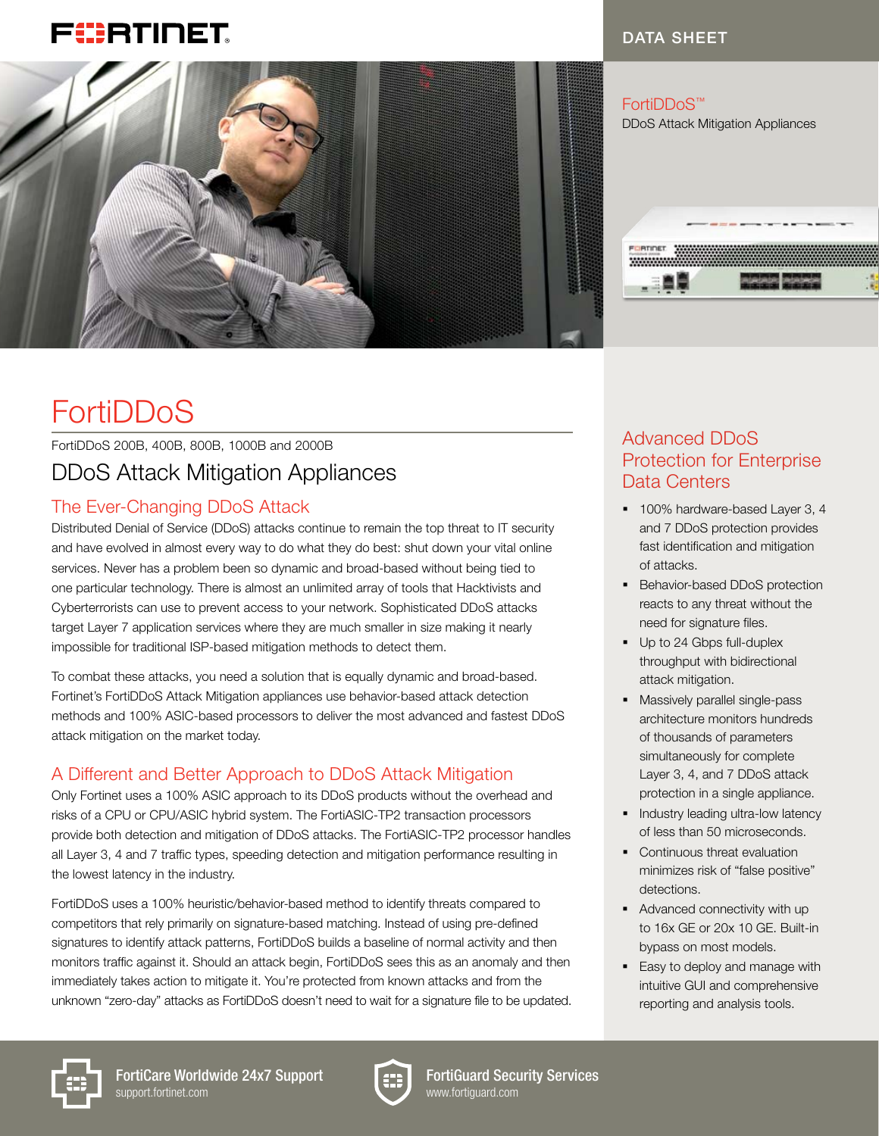# FIERTINET



# **FortiDDoS**

# FortiDDoS 200B, 400B, 800B, 1000B and 2000B DDoS Attack Mitigation Appliances

# The Ever-Changing DDoS Attack

Distributed Denial of Service (DDoS) attacks continue to remain the top threat to IT security and have evolved in almost every way to do what they do best: shut down your vital online services. Never has a problem been so dynamic and broad-based without being tied to one particular technology. There is almost an unlimited array of tools that Hacktivists and Cyberterrorists can use to prevent access to your network. Sophisticated DDoS attacks target Layer 7 application services where they are much smaller in size making it nearly impossible for traditional ISP-based mitigation methods to detect them.

To combat these attacks, you need a solution that is equally dynamic and broad-based. Fortinet's FortiDDoS Attack Mitigation appliances use behavior-based attack detection methods and 100% ASIC-based processors to deliver the most advanced and fastest DDoS attack mitigation on the market today.

# A Different and Better Approach to DDoS Attack Mitigation

Only Fortinet uses a 100% ASIC approach to its DDoS products without the overhead and risks of a CPU or CPU/ASIC hybrid system. The FortiASIC-TP2 transaction processors provide both detection and mitigation of DDoS attacks. The FortiASIC-TP2 processor handles all Layer 3, 4 and 7 traffic types, speeding detection and mitigation performance resulting in the lowest latency in the industry.

FortiDDoS uses a 100% heuristic/behavior-based method to identify threats compared to competitors that rely primarily on signature-based matching. Instead of using pre-defined signatures to identify attack patterns, FortiDDoS builds a baseline of normal activity and then monitors traffic against it. Should an attack begin, FortiDDoS sees this as an anomaly and then immediately takes action to mitigate it. You're protected from known attacks and from the unknown "zero-day" attacks as FortiDDoS doesn't need to wait for a signature file to be updated.

## Advanced DDoS Protection for Enterprise Data Centers

DATA SHEET

- § 100% hardware-based Layer 3, 4 and 7 DDoS protection provides fast identification and mitigation of attacks.
- **Behavior-based DDoS protection** reacts to any threat without the need for signature files.
- § Up to 24 Gbps full-duplex throughput with bidirectional attack mitigation.
- § Massively parallel single-pass architecture monitors hundreds of thousands of parameters simultaneously for complete Layer 3, 4, and 7 DDoS attack protection in a single appliance.
- **•** Industry leading ultra-low latency of less than 50 microseconds.
- Continuous threat evaluation minimizes risk of "false positive" detections.
- Advanced connectivity with up to 16x GE or 20x 10 GE. Built-in bypass on most models.
- **Easy to deploy and manage with** intuitive GUI and comprehensive reporting and analysis tools.





FortiGuard Security Services www.fortiguard.com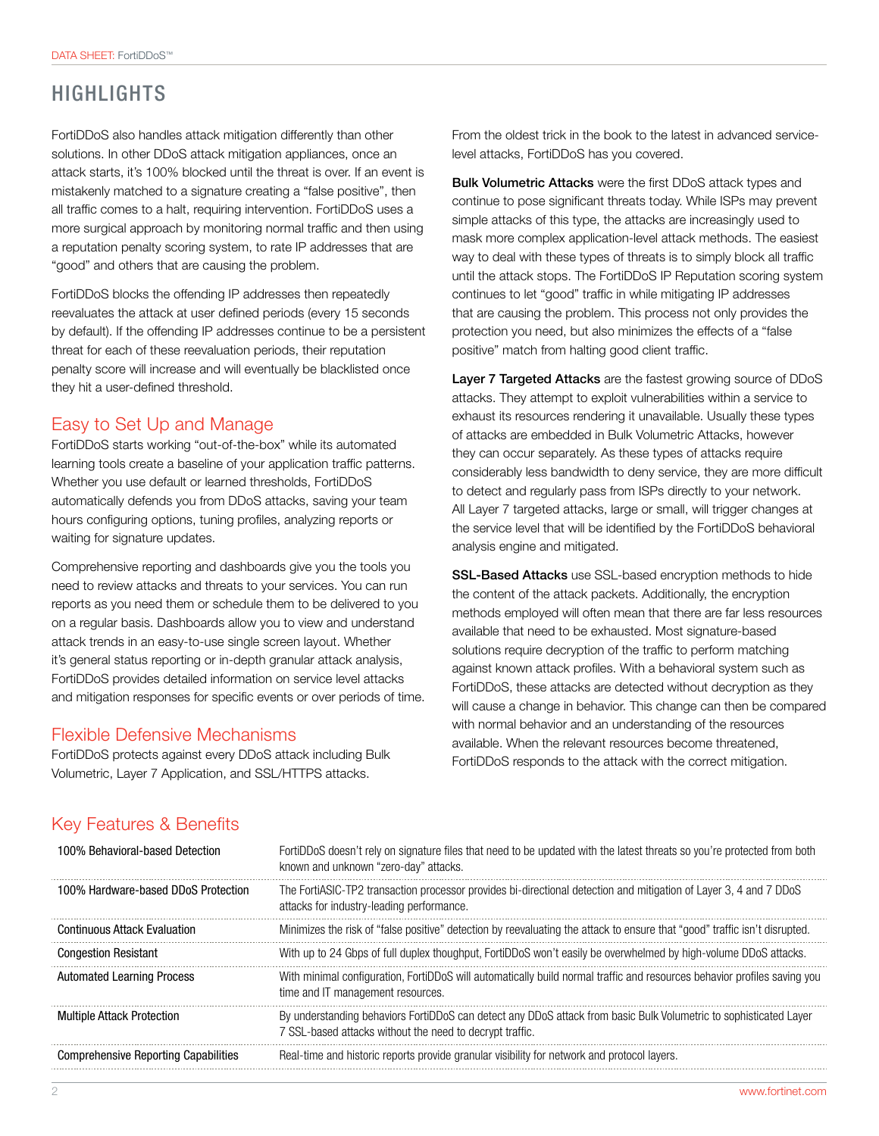# HIGHLIGHTS

FortiDDoS also handles attack mitigation differently than other solutions. In other DDoS attack mitigation appliances, once an attack starts, it's 100% blocked until the threat is over. If an event is mistakenly matched to a signature creating a "false positive", then all traffic comes to a halt, requiring intervention. FortiDDoS uses a more surgical approach by monitoring normal traffic and then using a reputation penalty scoring system, to rate IP addresses that are "good" and others that are causing the problem.

FortiDDoS blocks the offending IP addresses then repeatedly reevaluates the attack at user defined periods (every 15 seconds by default). If the offending IP addresses continue to be a persistent threat for each of these reevaluation periods, their reputation penalty score will increase and will eventually be blacklisted once they hit a user-defined threshold.

#### Easy to Set Up and Manage

FortiDDoS starts working "out-of-the-box" while its automated learning tools create a baseline of your application traffic patterns. Whether you use default or learned thresholds, FortiDDoS automatically defends you from DDoS attacks, saving your team hours configuring options, tuning profiles, analyzing reports or waiting for signature updates.

Comprehensive reporting and dashboards give you the tools you need to review attacks and threats to your services. You can run reports as you need them or schedule them to be delivered to you on a regular basis. Dashboards allow you to view and understand attack trends in an easy-to-use single screen layout. Whether it's general status reporting or in-depth granular attack analysis, FortiDDoS provides detailed information on service level attacks and mitigation responses for specific events or over periods of time.

#### Flexible Defensive Mechanisms

FortiDDoS protects against every DDoS attack including Bulk Volumetric, Layer 7 Application, and SSL/HTTPS attacks.

From the oldest trick in the book to the latest in advanced servicelevel attacks, FortiDDoS has you covered.

Bulk Volumetric Attacks were the first DDoS attack types and continue to pose significant threats today. While ISPs may prevent simple attacks of this type, the attacks are increasingly used to mask more complex application-level attack methods. The easiest way to deal with these types of threats is to simply block all traffic until the attack stops. The FortiDDoS IP Reputation scoring system continues to let "good" traffic in while mitigating IP addresses that are causing the problem. This process not only provides the protection you need, but also minimizes the effects of a "false positive" match from halting good client traffic.

Layer 7 Targeted Attacks are the fastest growing source of DDoS attacks. They attempt to exploit vulnerabilities within a service to exhaust its resources rendering it unavailable. Usually these types of attacks are embedded in Bulk Volumetric Attacks, however they can occur separately. As these types of attacks require considerably less bandwidth to deny service, they are more difficult to detect and regularly pass from ISPs directly to your network. All Layer 7 targeted attacks, large or small, will trigger changes at the service level that will be identified by the FortiDDoS behavioral analysis engine and mitigated.

SSL-Based Attacks use SSL-based encryption methods to hide the content of the attack packets. Additionally, the encryption methods employed will often mean that there are far less resources available that need to be exhausted. Most signature-based solutions require decryption of the traffic to perform matching against known attack profiles. With a behavioral system such as FortiDDoS, these attacks are detected without decryption as they will cause a change in behavior. This change can then be compared with normal behavior and an understanding of the resources available. When the relevant resources become threatened, FortiDDoS responds to the attack with the correct mitigation.

#### Key Features & Benefits

| 100% Behavioral-based Detection      | FortiDDoS doesn't rely on signature files that need to be updated with the latest threats so you're protected from both<br>known and unknown "zero-day" attacks.              |
|--------------------------------------|-------------------------------------------------------------------------------------------------------------------------------------------------------------------------------|
| 100% Hardware-based DDoS Protection  | The FortiASIC-TP2 transaction processor provides bi-directional detection and mitigation of Layer 3, 4 and 7 DDoS<br>attacks for industry-leading performance.                |
| <b>Continuous Attack Evaluation</b>  | Minimizes the risk of "false positive" detection by reevaluating the attack to ensure that "good" traffic isn't disrupted.                                                    |
| <b>Congestion Resistant</b>          | With up to 24 Gbps of full duplex thoughput, FortiDDoS won't easily be overwhelmed by high-volume DDoS attacks.                                                               |
| <b>Automated Learning Process</b>    | With minimal configuration, FortiDDoS will automatically build normal traffic and resources behavior profiles saving you<br>time and IT management resources.                 |
| <b>Multiple Attack Protection</b>    | By understanding behaviors FortiDDoS can detect any DDoS attack from basic Bulk Volumetric to sophisticated Layer<br>7 SSL-based attacks without the need to decrypt traffic. |
| Comprehensive Reporting Capabilities | Real-time and historic reports provide granular visibility for network and protocol layers.                                                                                   |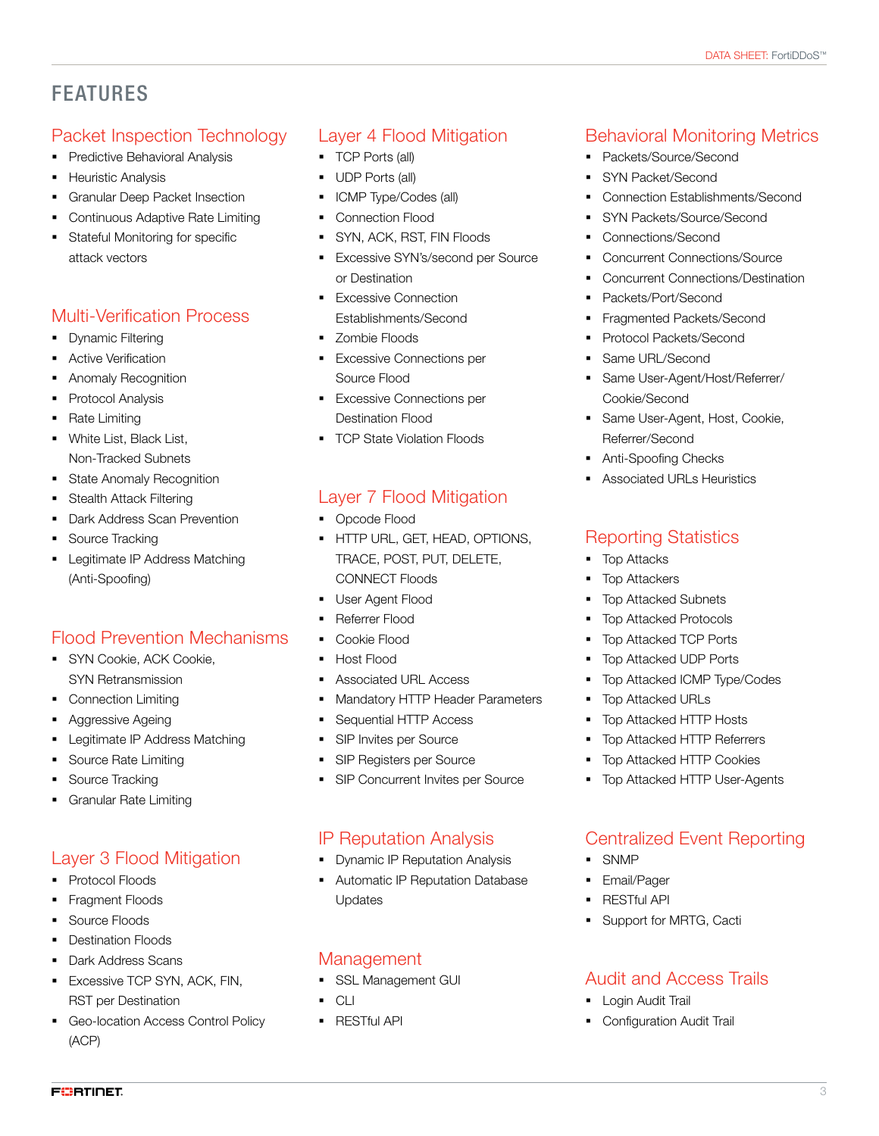# FEATURES

## Packet Inspection Technology

- § Predictive Behavioral Analysis
- **•** Heuristic Analysis
- § Granular Deep Packet Insection
- Continuous Adaptive Rate Limiting
- § Stateful Monitoring for specific attack vectors

#### Multi-Verification Process

- § Dynamic Filtering
- **•** Active Verification
- § Anomaly Recognition
- § Protocol Analysis
- § Rate Limiting
- White List, Black List, Non-Tracked Subnets
- State Anomaly Recognition
- § Stealth Attack Filtering
- Dark Address Scan Prevention
- § Source Tracking
- **•** Legitimate IP Address Matching (Anti-Spoofing)

#### Flood Prevention Mechanisms

- § SYN Cookie, ACK Cookie, SYN Retransmission
- Connection Limiting
- § Aggressive Ageing
- Legitimate IP Address Matching
- § Source Rate Limiting
- § Source Tracking
- § Granular Rate Limiting

## Layer 3 Flood Mitigation

- § Protocol Floods
- **•** Fragment Floods
- § Source Floods

**FURTIDET** 

- § Destination Floods
- Dark Address Scans
- Excessive TCP SYN, ACK, FIN, RST per Destination
- Geo-location Access Control Policy (ACP)

## Layer 4 Flood Mitigation

- § TCP Ports (all)
- § UDP Ports (all)
- § ICMP Type/Codes (all)
- Connection Flood
- § SYN, ACK, RST, FIN Floods
- § Excessive SYN's/second per Source or Destination
- Excessive Connection Establishments/Second
- § Zombie Floods
- Excessive Connections per Source Flood
- **Excessive Connections per** Destination Flood
- TCP State Violation Floods

#### Layer 7 Flood Mitigation

- Opcode Flood
- **HTTP URL, GET, HEAD, OPTIONS,** TRACE, POST, PUT, DELETE, CONNECT Floods
- User Agent Flood
- § Referrer Flood
- § Cookie Flood
- § Host Flood
- Associated URL Access
- § Mandatory HTTP Header Parameters
- § Sequential HTTP Access
- § SIP Invites per Source
- SIP Registers per Source
- SIP Concurrent Invites per Source

#### IP Reputation Analysis

- **Dynamic IP Reputation Analysis**
- § Automatic IP Reputation Database Updates

#### Management

- § SSL Management GUI
- § CLI
- **RESTful API**

## Behavioral Monitoring Metrics

- Packets/Source/Second
- § SYN Packet/Second
- § Connection Establishments/Second
- § SYN Packets/Source/Second
- § Connections/Second
- § Concurrent Connections/Source
- § Concurrent Connections/Destination
- § Packets/Port/Second
- § Fragmented Packets/Second
- § Protocol Packets/Second
- § Same URL/Second
- § Same User-Agent/Host/Referrer/ Cookie/Second
- **•** Same User-Agent, Host, Cookie, Referrer/Second
- Anti-Spoofing Checks
- § Associated URLs Heuristics

#### Reporting Statistics

- § Top Attacks
- § Top Attackers
- § Top Attacked Subnets
- § Top Attacked Protocols
- Top Attacked TCP Ports
- § Top Attacked UDP Ports
- § Top Attacked ICMP Type/Codes
- § Top Attacked URLs
- § Top Attacked HTTP Hosts
- § Top Attacked HTTP Referrers
- § Top Attacked HTTP Cookies

§ Support for MRTG, Cacti

Audit and Access Trails

§ Top Attacked HTTP User-Agents

#### Centralized Event Reporting

3

- § SNMP
- § Email/Pager § RESTful API

**•** Login Audit Trail

■ Configuration Audit Trail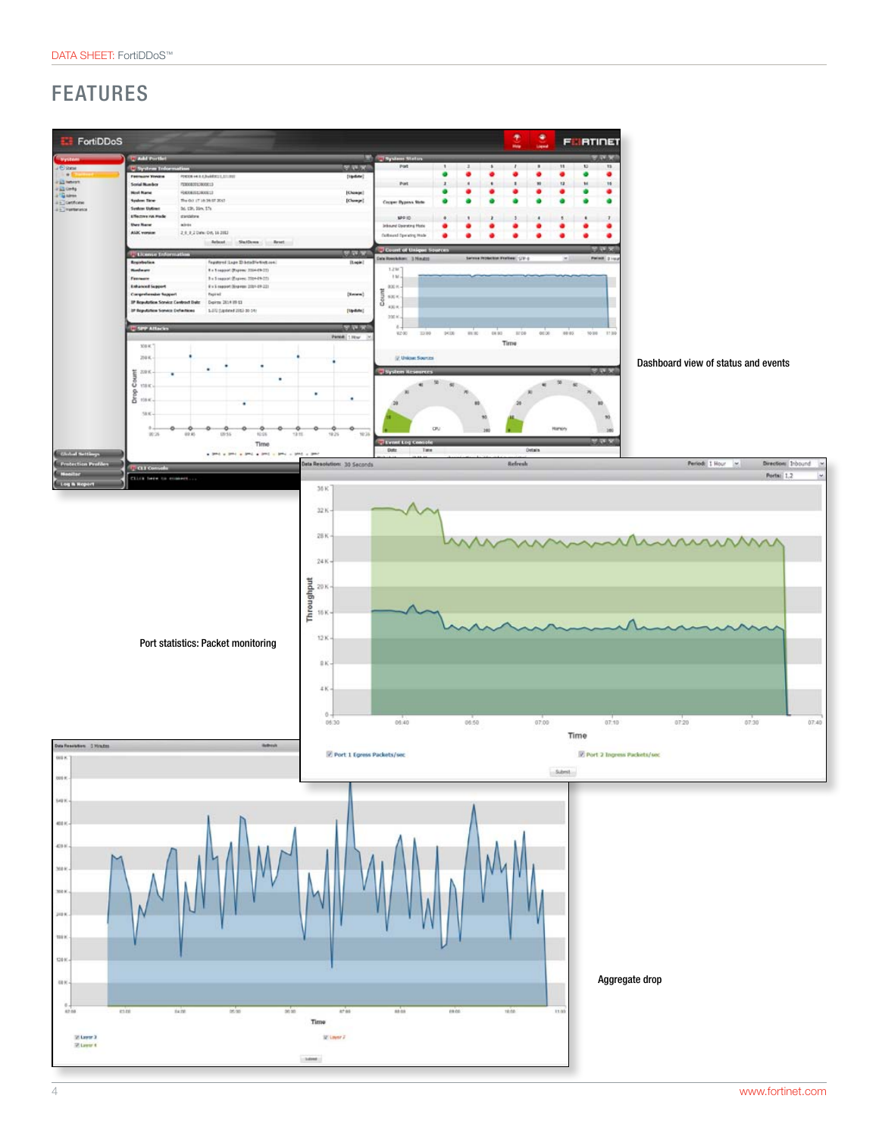



#### DATA SHEET: FortiDDoS™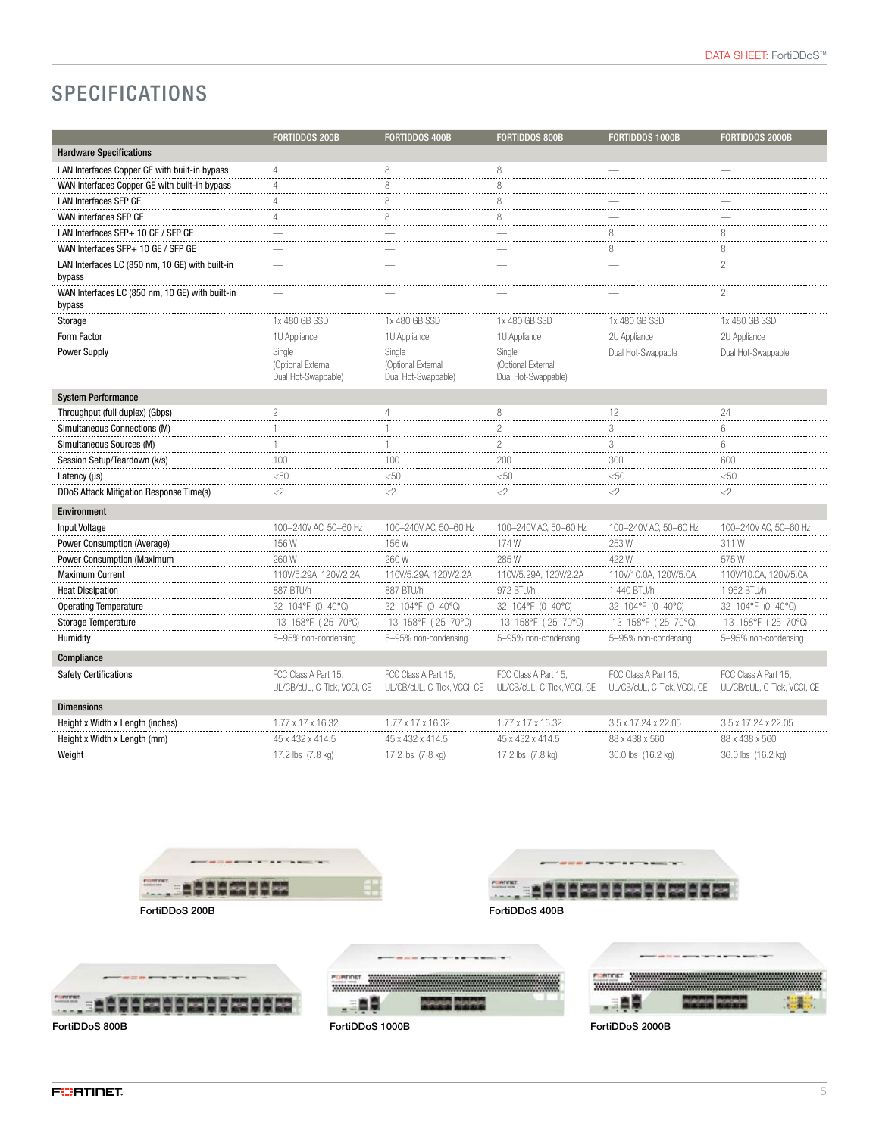# SPECIFICATIONS

|                                                           | <b>FORTIDDOS 200B</b>                               | <b>FORTIDDOS 400B</b>                               | <b>FORTIDDOS 800B</b>                               | <b>FORTIDDOS 1000B</b>                              | FORTIDDOS 2000B                                     |
|-----------------------------------------------------------|-----------------------------------------------------|-----------------------------------------------------|-----------------------------------------------------|-----------------------------------------------------|-----------------------------------------------------|
| <b>Hardware Specifications</b>                            |                                                     |                                                     |                                                     |                                                     |                                                     |
| LAN Interfaces Copper GE with built-in bypass             | $\Delta$                                            | 8                                                   | 8                                                   |                                                     |                                                     |
| WAN Interfaces Copper GE with built-in bypass             | $\Delta$                                            | 8                                                   | 8                                                   |                                                     |                                                     |
| LAN Interfaces SFP GE                                     | $\Delta$                                            | 8                                                   | 8                                                   |                                                     |                                                     |
| WAN interfaces SFP GE                                     |                                                     | 8                                                   | 8                                                   |                                                     |                                                     |
| LAN Interfaces SFP+ 10 GE / SFP GE                        |                                                     |                                                     |                                                     | 8                                                   |                                                     |
| WAN Interfaces SFP+ 10 GE / SFP GE                        |                                                     |                                                     |                                                     | 8                                                   | 8                                                   |
| LAN Interfaces LC (850 nm, 10 GE) with built-in<br>bypass |                                                     |                                                     |                                                     |                                                     | $\overline{c}$                                      |
| WAN Interfaces LC (850 nm, 10 GE) with built-in<br>bypass |                                                     |                                                     |                                                     |                                                     |                                                     |
| Storage                                                   | 1x 480 GB SSD                                       | 1x 480 GB SSD                                       | 1x 480 GB SSD                                       | 1x 480 GB SSD                                       | 1x 480 GB SSD                                       |
| Form Factor                                               | 1U Appliance                                        | 1U Appliance                                        | 1U Appliance                                        | 2U Appliance                                        | 2U Appliance                                        |
| <b>Power Supply</b>                                       | Single<br>(Optional External<br>Dual Hot-Swappable) | Single<br>(Optional External<br>Dual Hot-Swappable) | Single<br>(Optional External<br>Dual Hot-Swappable) | Dual Hot-Swappable                                  | Dual Hot-Swappable                                  |
| <b>System Performance</b>                                 |                                                     |                                                     |                                                     |                                                     |                                                     |
| Throughput (full duplex) (Gbps)                           | $\overline{c}$                                      | $\overline{4}$                                      | 8                                                   | 12                                                  | 24                                                  |
| Simultaneous Connections (M)                              |                                                     |                                                     | $\overline{c}$                                      | 3                                                   | 6                                                   |
| Simultaneous Sources (M)                                  |                                                     |                                                     | $\overline{c}$                                      | 3                                                   | 6                                                   |
| Session Setup/Teardown (k/s)                              | 100                                                 | 100<br>.                                            | 200<br>.                                            | 300<br>.                                            | 600                                                 |
| Latency $(\mu s)$                                         | $50$                                                | $50$                                                | $\leq 50$                                           | $\leq 50$                                           | < 50                                                |
| DDoS Attack Mitigation Response Time(s)                   | $<$ 2                                               | $<$ 2                                               | $<$ 2                                               | $<$ 2                                               | $<$ 2                                               |
| Environment                                               |                                                     |                                                     |                                                     |                                                     |                                                     |
| Input Voltage                                             | 100-240V AC, 50-60 Hz                               | 100-240V AC, 50-60 Hz                               | 100-240V AC, 50-60 Hz                               | 100-240V AC, 50-60 Hz                               | 100-240V AC, 50-60 Hz                               |
| Power Consumption (Average)                               | 156W                                                | 156W                                                | 174W                                                | 253W                                                | 311W                                                |
| Power Consumption (Maximum                                | 260W                                                | 260W                                                | 285W                                                | 422W                                                | 575W                                                |
| <b>Maximum Current</b>                                    | 110V/5.29A, 120V/2.2A                               | 110V/5.29A, 120V/2.2A                               | 110V/5.29A, 120V/2.2A                               | 110V/10.0A, 120V/5.0A                               | 110V/10.0A, 120V/5.0A                               |
| <b>Heat Dissipation</b>                                   | 887 BTU/h                                           | 887 BTU/h                                           | 972 BTU/h                                           | 1,440 BTU/h                                         | 1,962 BTU/h                                         |
| <b>Operating Temperature</b>                              | 32-104°F (0-40°C)                                   | 32–104°F (0–40°C)                                   | 32-104°F (0-40°C)                                   | 32-104°F (0-40°C)                                   | 32-104°F (0-40°C)                                   |
| Storage Temperature                                       | $-13-158$ °F (-25-70°C)                             | $-13-158$ °F (-25-70°C)                             | $-13-158$ °F (-25-70°C)                             | $-13-158$ °F (-25-70°C)                             | -13-158°F (-25-70°C)                                |
| Humidity                                                  | 5-95% non-condensing                                | 5-95% non-condensing                                | 5-95% non-condensing                                | 5-95% non-condensing                                | 5-95% non-condensing                                |
| Compliance                                                |                                                     |                                                     |                                                     |                                                     |                                                     |
| <b>Safety Certifications</b>                              | FCC Class A Part 15.<br>UL/CB/cUL, C-Tick, VCCI, CE | FCC Class A Part 15.<br>UL/CB/cUL, C-Tick, VCCI, CE | FCC Class A Part 15.<br>UL/CB/cUL, C-Tick, VCCI, CE | FCC Class A Part 15.<br>UL/CB/cUL, C-Tick, VCCI, CE | FCC Class A Part 15.<br>UL/CB/cUL, C-Tick, VCCI, CE |
| <b>Dimensions</b>                                         |                                                     |                                                     |                                                     |                                                     |                                                     |
| Height x Width x Length (inches)                          | 1.77 x 17 x 16.32                                   | 1.77 x 17 x 16.32                                   | 1.77 x 17 x 16.32                                   | 3.5 x 17.24 x 22.05                                 | 3.5 x 17.24 x 22.05                                 |
| Height x Width x Length (mm)                              | 45 x 432 x 414.5                                    | 45 x 432 x 414.5                                    | 45 x 432 x 414.5                                    | 88 x 438 x 560                                      | 88 x 438 x 560                                      |
| Weight                                                    | 17.2 lbs (7.8 kg)                                   | 17.2 lbs (7.8 kg)                                   | 17.2 lbs (7.8 kg)                                   | 36.0 lbs (16.2 kg)                                  | 36.0 lbs (16.2 kg)                                  |